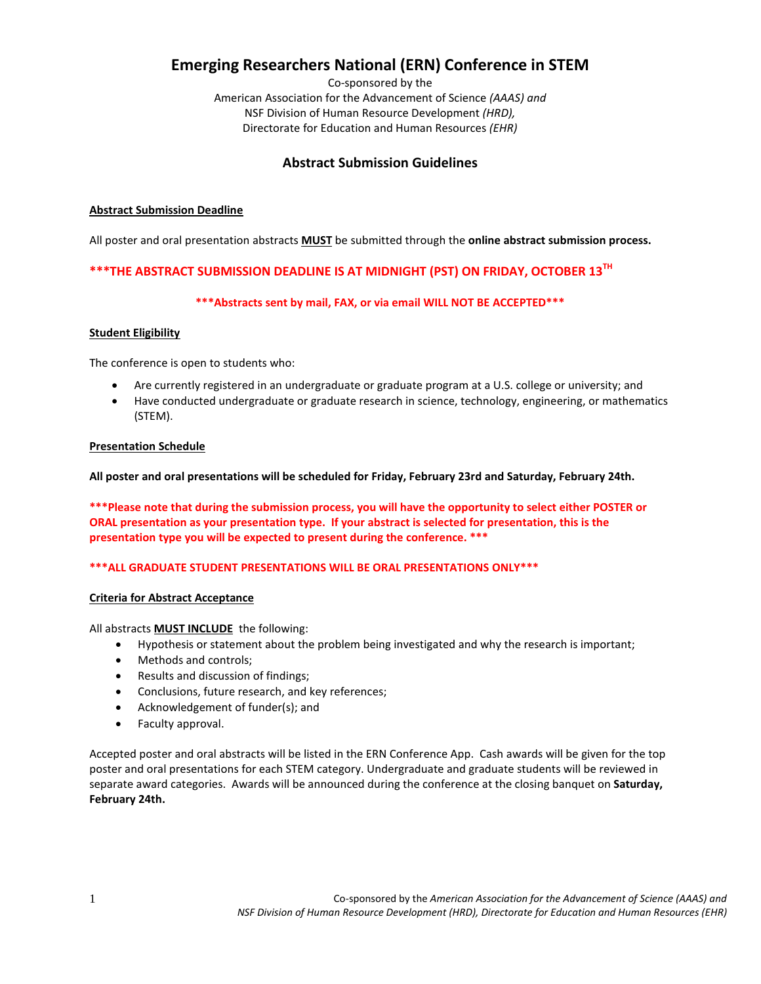# **Emerging Researchers National (ERN) Conference in STEM**

Co-sponsored by the American Association for the Advancement of Science *(AAAS) and*  NSF Division of Human Resource Development *(HRD),* Directorate for Education and Human Resources *(EHR)*

# **Abstract Submission Guidelines**

## **Abstract Submission Deadline**

All poster and oral presentation abstracts **MUST** be submitted through the **online abstract submission process.**

## **\*\*\*THE ABSTRACT SUBMISSION DEADLINE IS AT MIDNIGHT (PST) ON FRIDAY, OCTOBER 13TH**

## **\*\*\*Abstracts sent by mail, FAX, or via email WILL NOT BE ACCEPTED\*\*\***

#### **Student Eligibility**

The conference is open to students who:

- Are currently registered in an undergraduate or graduate program at a U.S. college or university; and
- Have conducted undergraduate or graduate research in science, technology, engineering, or mathematics (STEM).

#### **Presentation Schedule**

**All poster and oral presentations will be scheduled for Friday, February 23rd and Saturday, February 24th.**

**\*\*\*Please note that during the submission process, you will have the opportunity to select either POSTER or ORAL presentation as your presentation type. If your abstract is selected for presentation, this is the presentation type you will be expected to present during the conference. \*\*\***

## **\*\*\*ALL GRADUATE STUDENT PRESENTATIONS WILL BE ORAL PRESENTATIONS ONLY\*\*\***

## **Criteria for Abstract Acceptance**

#### All abstracts **MUST INCLUDE** the following:

- Hypothesis or statement about the problem being investigated and why the research is important;
- Methods and controls;
- Results and discussion of findings;
- Conclusions, future research, and key references;
- Acknowledgement of funder(s); and
- Faculty approval.

Accepted poster and oral abstracts will be listed in the ERN Conference App. Cash awards will be given for the top poster and oral presentations for each STEM category. Undergraduate and graduate students will be reviewed in separate award categories. Awards will be announced during the conference at the closing banquet on **Saturday, February 24th.**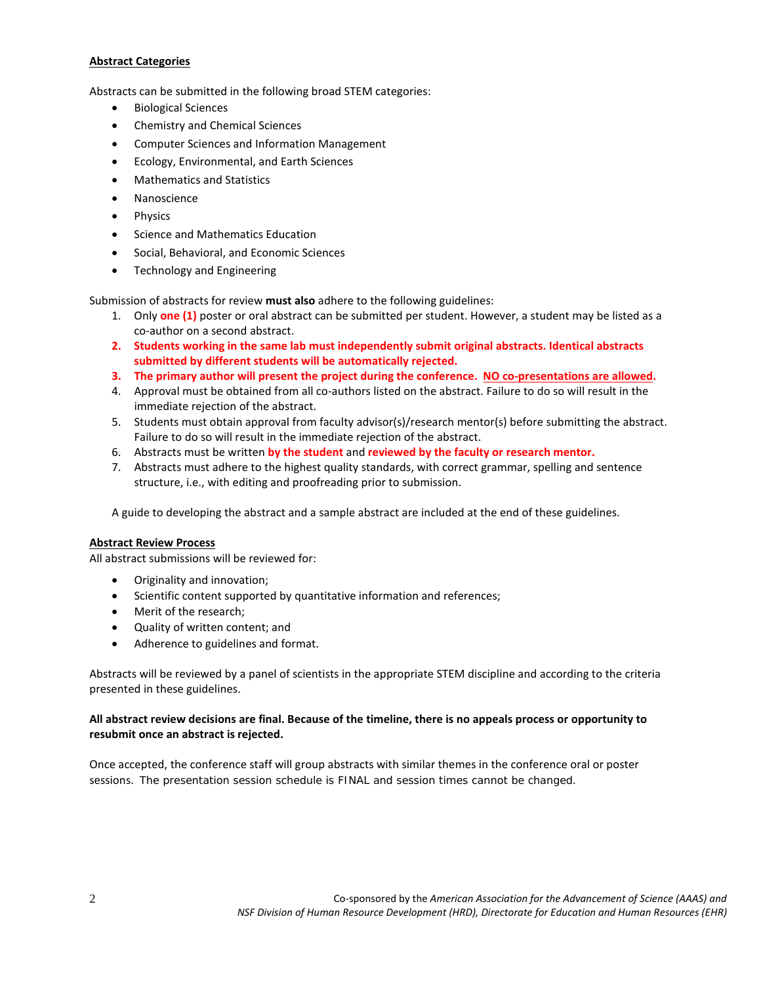#### **Abstract Categories**

Abstracts can be submitted in the following broad STEM categories:

- Biological Sciences
- Chemistry and Chemical Sciences
- Computer Sciences and Information Management
- Ecology, Environmental, and Earth Sciences
- Mathematics and Statistics
- Nanoscience
- Physics
- Science and Mathematics Education
- Social, Behavioral, and Economic Sciences
- Technology and Engineering

Submission of abstracts for review **must also** adhere to the following guidelines:

- 1. Only **one (1)** poster or oral abstract can be submitted per student. However, a student may be listed as a co-author on a second abstract.
- **2. Students working in the same lab must independently submit original abstracts. Identical abstracts submitted by different students will be automatically rejected.**
- **3. The primary author will present the project during the conference. NO co-presentations are allowed.**
- 4. Approval must be obtained from all co-authors listed on the abstract. Failure to do so will result in the immediate rejection of the abstract.
- 5. Students must obtain approval from faculty advisor(s)/research mentor(s) before submitting the abstract. Failure to do so will result in the immediate rejection of the abstract.
- 6. Abstracts must be written **by the student** and **reviewed by the faculty or research mentor.**
- 7. Abstracts must adhere to the highest quality standards, with correct grammar, spelling and sentence structure, i.e., with editing and proofreading prior to submission.

A guide to developing the abstract and a sample abstract are included at the end of these guidelines.

#### **Abstract Review Process**

All abstract submissions will be reviewed for:

- Originality and innovation;
- Scientific content supported by quantitative information and references;
- Merit of the research;
- Quality of written content; and
- Adherence to guidelines and format.

Abstracts will be reviewed by a panel of scientists in the appropriate STEM discipline and according to the criteria presented in these guidelines.

#### **All abstract review decisions are final. Because of the timeline, there is no appeals process or opportunity to resubmit once an abstract is rejected.**

Once accepted, the conference staff will group abstracts with similar themes in the conference oral or poster sessions. The presentation session schedule is FINAL and session times cannot be changed.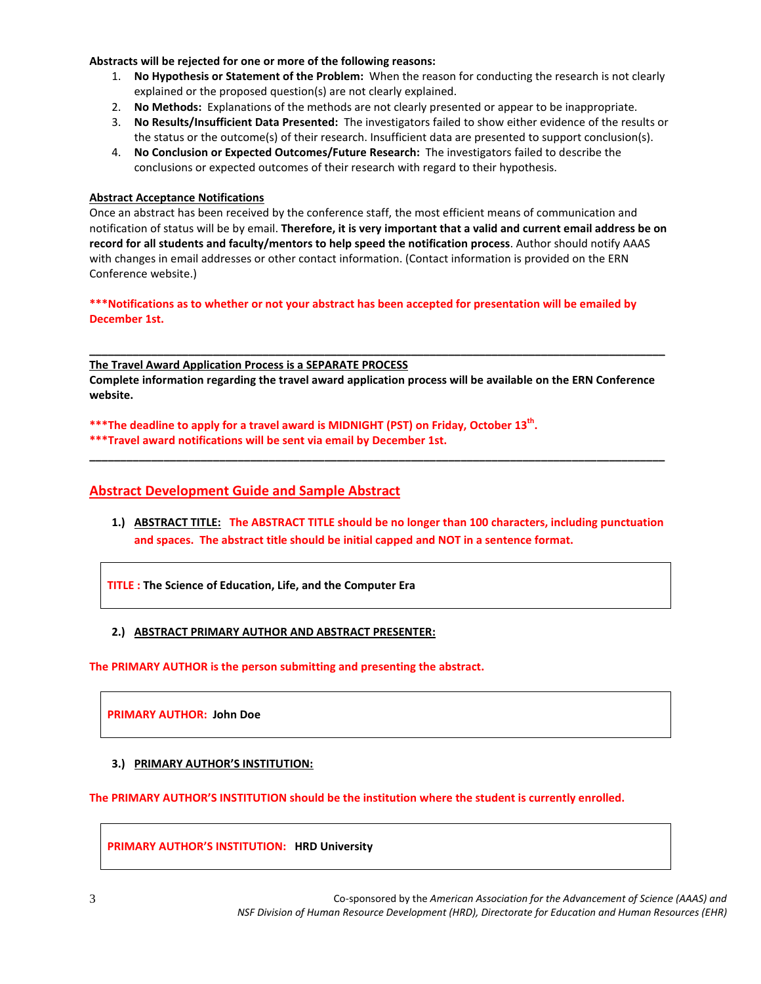#### **Abstracts will be rejected for one or more of the following reasons:**

- 1. **No Hypothesis or Statement of the Problem:** When the reason for conducting the research is not clearly explained or the proposed question(s) are not clearly explained.
- 2. **No Methods:** Explanations of the methods are not clearly presented or appear to be inappropriate.
- 3. **No Results/Insufficient Data Presented:** The investigators failed to show either evidence of the results or the status or the outcome(s) of their research. Insufficient data are presented to support conclusion(s).
- 4. **No Conclusion or Expected Outcomes/Future Research:** The investigators failed to describe the conclusions or expected outcomes of their research with regard to their hypothesis.

#### **Abstract Acceptance Notifications**

Once an abstract has been received by the conference staff, the most efficient means of communication and notification of status will be by email. **Therefore, it is very important that a valid and current email address be on record for all students and faculty/mentors to help speed the notification process**. Author should notify AAAS with changes in email addresses or other contact information. (Contact information is provided on the ERN Conference website.)

**\*\*\*Notifications as to whether or not your abstract has been accepted for presentation will be emailed by December 1st.**

**The Travel Award Application Process is a SEPARATE PROCESS Complete information regarding the travel award application process will be available on the ERN Conference website.**

**\_\_\_\_\_\_\_\_\_\_\_\_\_\_\_\_\_\_\_\_\_\_\_\_\_\_\_\_\_\_\_\_\_\_\_\_\_\_\_\_\_\_\_\_\_\_\_\_\_\_\_\_\_\_\_\_\_\_\_\_\_\_\_\_\_\_\_\_\_\_\_\_\_\_\_\_\_\_\_\_\_\_\_\_\_\_\_\_\_\_\_\_\_**

**\_\_\_\_\_\_\_\_\_\_\_\_\_\_\_\_\_\_\_\_\_\_\_\_\_\_\_\_\_\_\_\_\_\_\_\_\_\_\_\_\_\_\_\_\_\_\_\_\_\_\_\_\_\_\_\_\_\_\_\_\_\_\_\_\_\_\_\_\_\_\_\_\_\_\_\_\_\_\_\_\_\_\_\_\_\_\_\_\_\_\_\_\_**

\*\*\*The deadline to apply for a travel award is MIDNIGHT (PST) on Friday, October 13<sup>th</sup>.

**\*\*\*Travel award notifications will be sent via email by December 1st.**

## **Abstract Development Guide and Sample Abstract**

**1.) ABSTRACT TITLE: The ABSTRACT TITLE should be no longer than 100 characters, including punctuation and spaces. The abstract title should be initial capped and NOT in a sentence format.**

**TITLE : The Science of Education, Life, and the Computer Era** 

## **2.) ABSTRACT PRIMARY AUTHOR AND ABSTRACT PRESENTER:**

**The PRIMARY AUTHOR is the person submitting and presenting the abstract.**

**PRIMARY AUTHOR: John Doe**

## **3.) PRIMARY AUTHOR'S INSTITUTION:**

**The PRIMARY AUTHOR'S INSTITUTION should be the institution where the student is currently enrolled.**

**PRIMARY AUTHOR'S INSTITUTION: HRD University**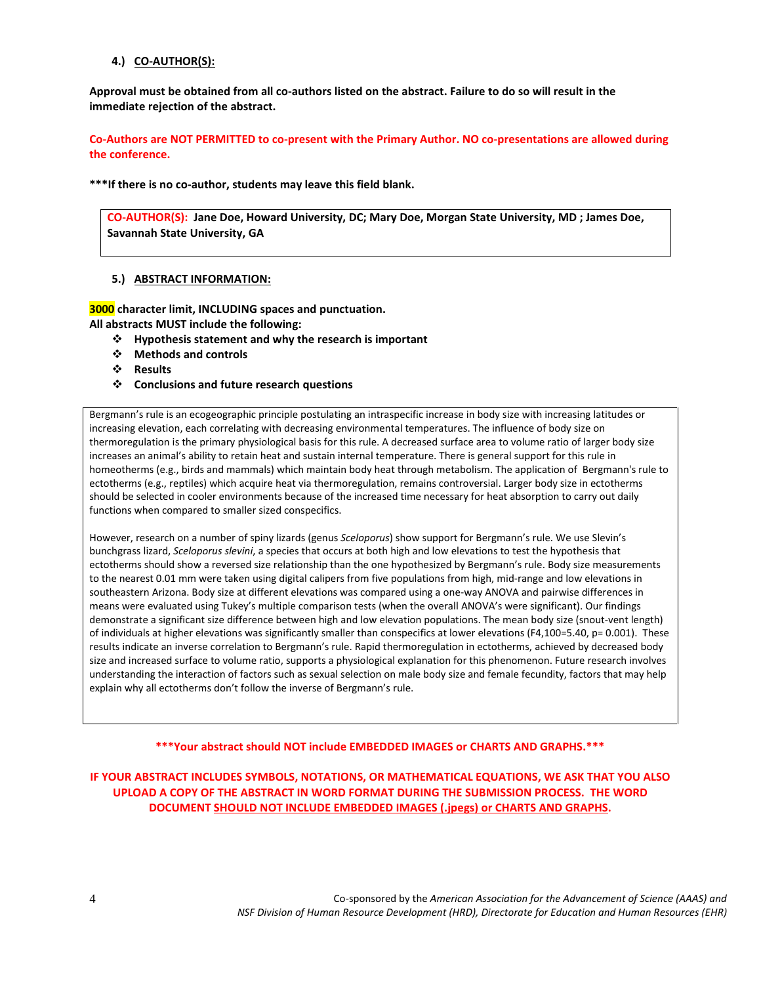#### **4.) CO-AUTHOR(S):**

**Approval must be obtained from all co-authors listed on the abstract. Failure to do so will result in the immediate rejection of the abstract.**

**Co-Authors are NOT PERMITTED to co-present with the Primary Author. NO co-presentations are allowed during the conference.**

**\*\*\*If there is no co-author, students may leave this field blank.**

**CO-AUTHOR(S): Jane Doe, Howard University, DC; Mary Doe, Morgan State University, MD ; James Doe, Savannah State University, GA**

#### **5.) ABSTRACT INFORMATION:**

**3000 character limit, INCLUDING spaces and punctuation. All abstracts MUST include the following:**

- **Hypothesis statement and why the research is important**
- **Methods and controls**
- **Results**
- **Conclusions and future research questions**

Bergmann's rule is an ecogeographic principle postulating an intraspecific increase in body size with increasing latitudes or increasing elevation, each correlating with decreasing environmental temperatures. The influence of body size on thermoregulation is the primary physiological basis for this rule. A decreased surface area to volume ratio of larger body size increases an animal's ability to retain heat and sustain internal temperature. There is general support for this rule in homeotherms (e.g., birds and mammals) which maintain body heat through metabolism. The application of Bergmann's rule to ectotherms (e.g., reptiles) which acquire heat via thermoregulation, remains controversial. Larger body size in ectotherms should be selected in cooler environments because of the increased time necessary for heat absorption to carry out daily functions when compared to smaller sized conspecifics.

However, research on a number of spiny lizards (genus *Sceloporus*) show support for Bergmann's rule. We use Slevin's bunchgrass lizard, *Sceloporus slevini*, a species that occurs at both high and low elevations to test the hypothesis that ectotherms should show a reversed size relationship than the one hypothesized by Bergmann's rule. Body size measurements to the nearest 0.01 mm were taken using digital calipers from five populations from high, mid-range and low elevations in southeastern Arizona. Body size at different elevations was compared using a one-way ANOVA and pairwise differences in means were evaluated using Tukey's multiple comparison tests (when the overall ANOVA's were significant). Our findings demonstrate a significant size difference between high and low elevation populations. The mean body size (snout-vent length) of individuals at higher elevations was significantly smaller than conspecifics at lower elevations (F4,100=5.40, p= 0.001). These results indicate an inverse correlation to Bergmann's rule. Rapid thermoregulation in ectotherms, achieved by decreased body size and increased surface to volume ratio, supports a physiological explanation for this phenomenon. Future research involves understanding the interaction of factors such as sexual selection on male body size and female fecundity, factors that may help explain why all ectotherms don't follow the inverse of Bergmann's rule.

#### **\*\*\*Your abstract should NOT include EMBEDDED IMAGES or CHARTS AND GRAPHS.\*\*\***

**IF YOUR ABSTRACT INCLUDES SYMBOLS, NOTATIONS, OR MATHEMATICAL EQUATIONS, WE ASK THAT YOU ALSO UPLOAD A COPY OF THE ABSTRACT IN WORD FORMAT DURING THE SUBMISSION PROCESS. THE WORD DOCUMENT SHOULD NOT INCLUDE EMBEDDED IMAGES (.jpegs) or CHARTS AND GRAPHS.**